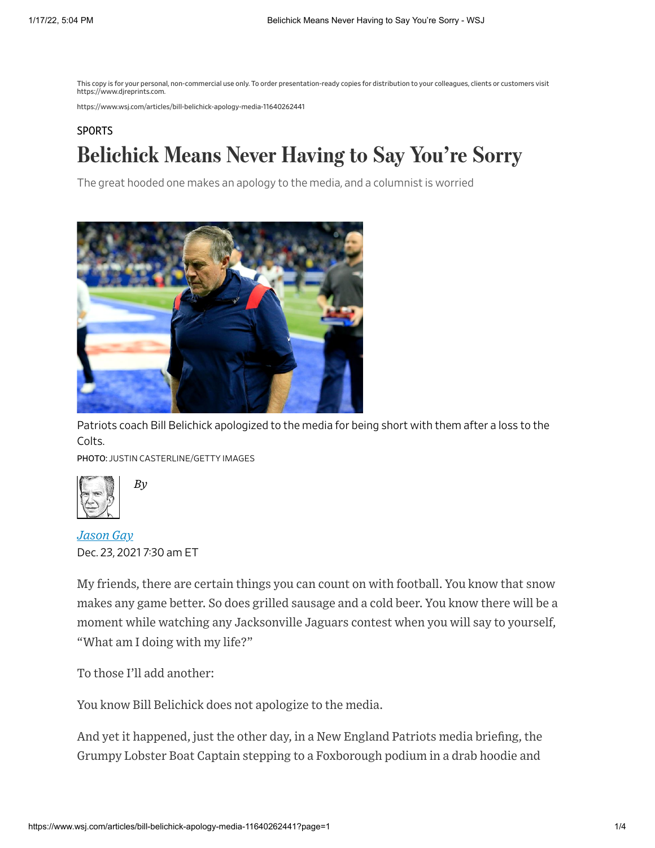This copy is for your personal, non-commercial use only. To order presentation-ready copies for distribution to your colleagues, clients or customers visit https://www.djreprints.com.

https://www.wsj.com/articles/bill-belichick-apology-media-11640262441

## **[SPORTS](https://www.wsj.com/news/sports?mod=breadcrumb)** Belichick Means Never Having to Say You're Sorry

The great hooded one makes an apology to the media, and a columnist is worried



Patriots coach Bill Belichick apologized to the media for being short with them after a loss to the Colts.

PHOTO: JUSTIN CASTERLINE/GETTY IMAGES



Dec. 23, 2021 7:30 am ET *Jason Gay*

*By*

My friends, there are certain things you can count on with football. You know that snow makes any game better. So does grilled sausage and a cold beer. You know there will be a moment while watching any Jacksonville Jaguars contest when you will say to yourself, "What am I doing with my life?"

To those I'll add another:

You know Bill Belichick does not apologize to the media.

And yet it happened, just the other day, in a New England Patriots media briefing, the Grumpy Lobster Boat Captain stepping to a Foxborough podium in a drab hoodie and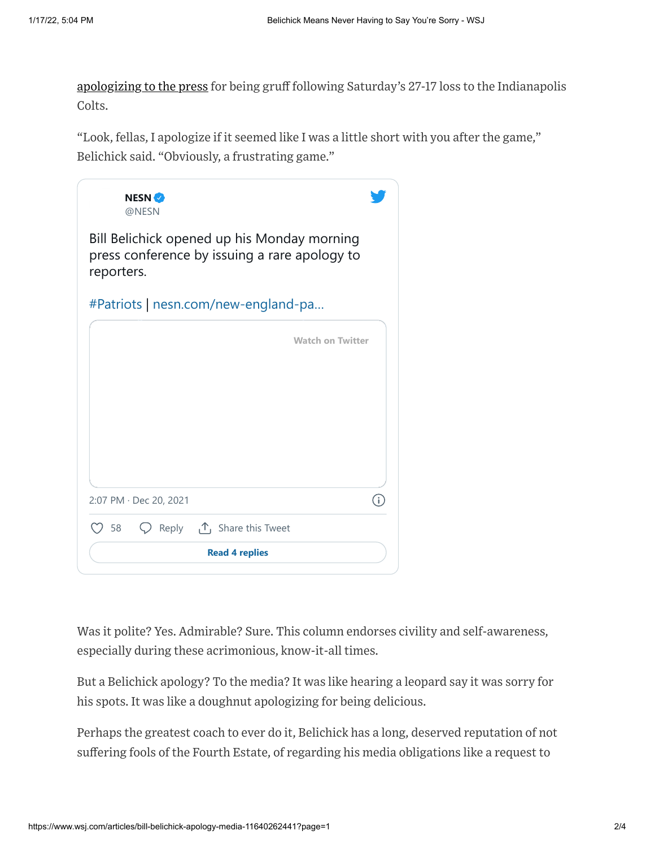[apologizing](https://twitter.com/NESN/status/1473007204127150090?s=20) to the press for being gruff following Saturday's 27-17 loss to the Indianapolis Colts.

"Look, fellas, I apologize if it seemed like I was a little short with you after the game," Belichick said. "Obviously, a frustrating game."



Was it polite? Yes. Admirable? Sure. This column endorses civility and self-awareness, especially during these acrimonious, know-it-all times.

But a Belichick apology? To the media? It was like hearing a leopard say it was sorry for his spots. It was like a doughnut apologizing for being delicious.

Perhaps the greatest coach to ever do it, Belichick has a long, deserved reputation of not suffering fools of the Fourth Estate, of regarding his media obligations like a request to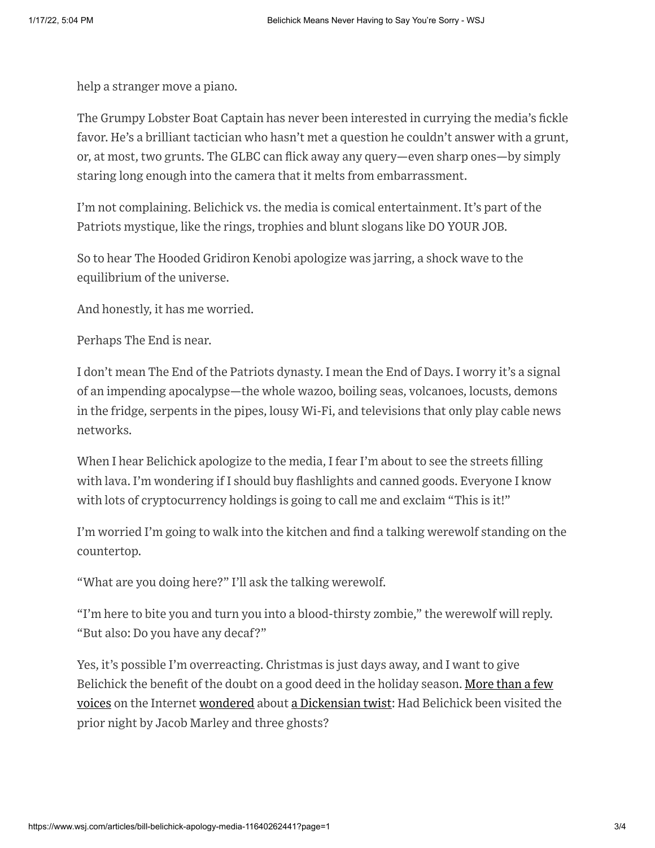help a stranger move a piano.

The Grumpy Lobster Boat Captain has never been interested in currying the media's fickle favor. He's a brilliant tactician who hasn't met a question he couldn't answer with a grunt, or, at most, two grunts. The GLBC can flick away any query—even sharp ones—by simply staring long enough into the camera that it melts from embarrassment.

I'm not complaining. Belichick vs. the media is comical entertainment. It's part of the Patriots mystique, like the rings, trophies and blunt slogans like DO YOUR JOB.

So to hear The Hooded Gridiron Kenobi apologize was jarring, a shock wave to the equilibrium of the universe.

And honestly, it has me worried.

Perhaps The End is near.

I don't mean The End of the Patriots dynasty. I mean the End of Days. I worry it's a signal of an impending apocalypse—the whole wazoo, boiling seas, volcanoes, locusts, demons in the fridge, serpents in the pipes, lousy Wi-Fi, and televisions that only play cable news networks.

When I hear Belichick apologize to the media, I fear I'm about to see the streets filling with lava. I'm wondering if I should buy flashlights and canned goods. Everyone I know with lots of cryptocurrency holdings is going to call me and exclaim "This is it!"

I'm worried I'm going to walk into the kitchen and find a talking werewolf standing on the countertop.

"What are you doing here?" I'll ask the talking werewolf.

"I'm here to bite you and turn you into a blood-thirsty zombie," the werewolf will reply. "But also: Do you have any decaf?"

Yes, it's possible I'm overreacting. Christmas is just days away, and I want to give Belichick the benefit of the doubt on a good deed in the holiday season. More than a few voices on the Internet [wondered](https://twitter.com/vanessafranko/status/1472970041108930569?s=20) about a [Dickensian](https://twitter.com/usatodaysports/status/1472935367083020290?s=20) twist: Had Belichick been visited the prior night by Jacob Marley and three ghosts?